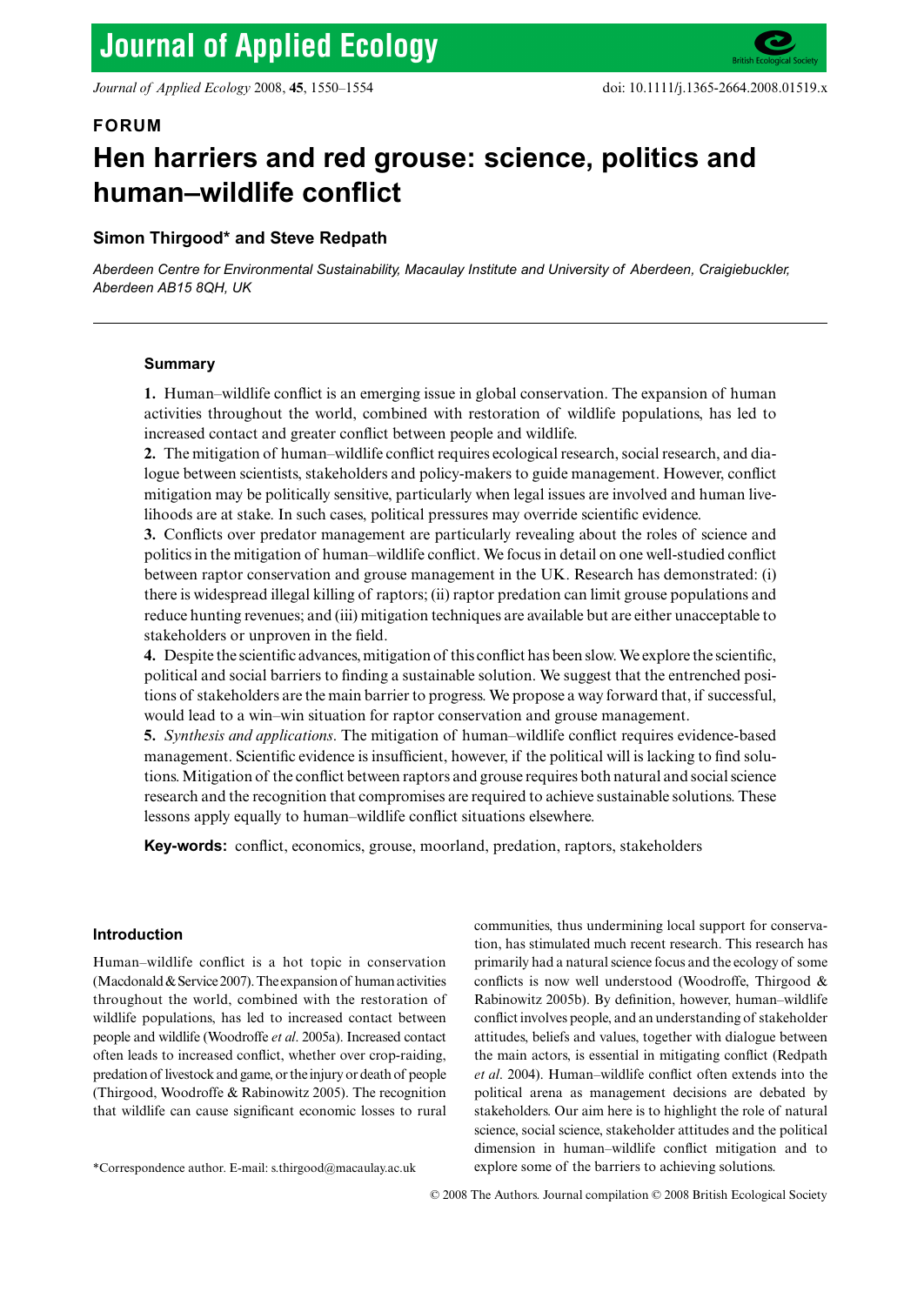# **Hen harriers and red grouse: science, politics and human–wildlife conflict**

# **Simon Thirgood\* and Steve Redpath**

*Aberdeen Centre for Environmental Sustainability, Macaulay Institute and University of Aberdeen, Craigiebuckler, Aberdeen AB15 8QH, UK*

# **Summary**

Blackwell Publishing Ltd **FORUM**

**1.** Human–wildlife conflict is an emerging issue in global conservation. The expansion of human activities throughout the world, combined with restoration of wildlife populations, has led to increased contact and greater conflict between people and wildlife.

**2.** The mitigation of human–wildlife conflict requires ecological research, social research, and dialogue between scientists, stakeholders and policy-makers to guide management. However, conflict mitigation may be politically sensitive, particularly when legal issues are involved and human livelihoods are at stake. In such cases, political pressures may override scientific evidence.

**3.** Conflicts over predator management are particularly revealing about the roles of science and politics in the mitigation of human–wildlife conflict. We focus in detail on one well-studied conflict between raptor conservation and grouse management in the UK. Research has demonstrated: (i) there is widespread illegal killing of raptors; (ii) raptor predation can limit grouse populations and reduce hunting revenues; and (iii) mitigation techniques are available but are either unacceptable to stakeholders or unproven in the field.

**4.** Despite the scientific advances, mitigation of this conflict has been slow. We explore the scientific, political and social barriers to finding a sustainable solution. We suggest that the entrenched positions of stakeholders are the main barrier to progress. We propose a way forward that, if successful, would lead to a win–win situation for raptor conservation and grouse management.

**5.** *Synthesis and applications*. The mitigation of human–wildlife conflict requires evidence-based management. Scientific evidence is insufficient, however, if the political will is lacking to find solutions. Mitigation of the conflict between raptors and grouse requires both natural and social science research and the recognition that compromises are required to achieve sustainable solutions. These lessons apply equally to human–wildlife conflict situations elsewhere.

**Key-words:** conflict, economics, grouse, moorland, predation, raptors, stakeholders

# **Introduction**

Human–wildlife conflict is a hot topic in conservation (Macdonald & Service 2007). The expansion of human activities throughout the world, combined with the restoration of wildlife populations, has led to increased contact between people and wildlife (Woodroffe *et al*. 2005a). Increased contact often leads to increased conflict, whether over crop-raiding, predation of livestock and game, or the injury or death of people (Thirgood, Woodroffe & Rabinowitz 2005). The recognition that wildlife can cause significant economic losses to rural

communities, thus undermining local support for conservation, has stimulated much recent research. This research has primarily had a natural science focus and the ecology of some conflicts is now well understood (Woodroffe, Thirgood & Rabinowitz 2005b). By definition, however, human–wildlife conflict involves people, and an understanding of stakeholder attitudes, beliefs and values, together with dialogue between the main actors, is essential in mitigating conflict (Redpath *et al*. 2004). Human–wildlife conflict often extends into the political arena as management decisions are debated by stakeholders. Our aim here is to highlight the role of natural science, social science, stakeholder attitudes and the political dimension in human–wildlife conflict mitigation and to \*Correspondence author. E-mail: s.thirgood@macaulay.ac.uk explore some of the barriers to achieving solutions.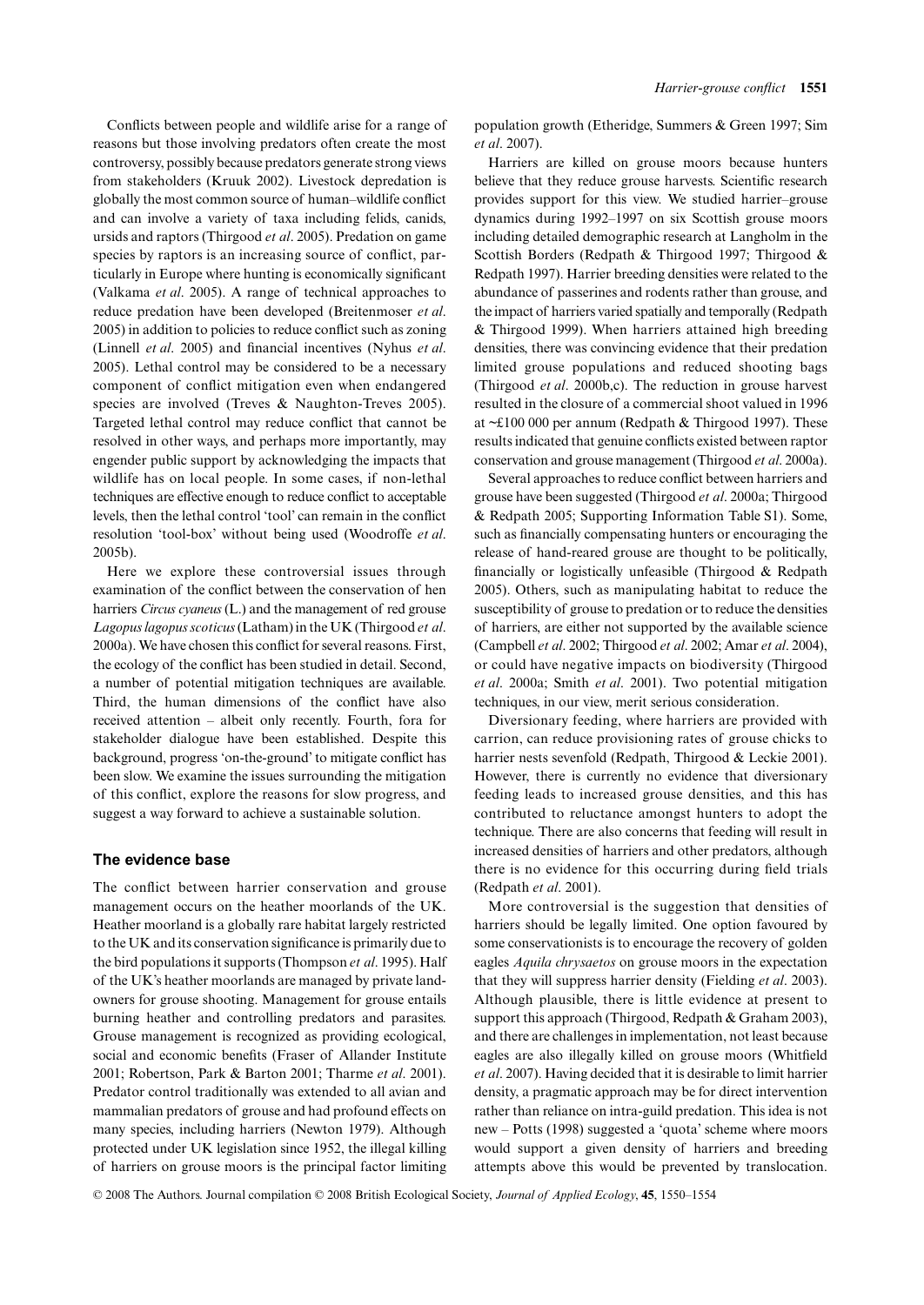Conflicts between people and wildlife arise for a range of reasons but those involving predators often create the most controversy, possibly because predators generate strong views from stakeholders (Kruuk 2002). Livestock depredation is globally the most common source of human–wildlife conflict and can involve a variety of taxa including felids, canids, ursids and raptors (Thirgood *et al*. 2005). Predation on game species by raptors is an increasing source of conflict, particularly in Europe where hunting is economically significant (Valkama *et al*. 2005). A range of technical approaches to reduce predation have been developed (Breitenmoser *et al*. 2005) in addition to policies to reduce conflict such as zoning (Linnell *et al*. 2005) and financial incentives (Nyhus *et al*. 2005). Lethal control may be considered to be a necessary component of conflict mitigation even when endangered species are involved (Treves & Naughton-Treves 2005). Targeted lethal control may reduce conflict that cannot be resolved in other ways, and perhaps more importantly, may engender public support by acknowledging the impacts that wildlife has on local people. In some cases, if non-lethal techniques are effective enough to reduce conflict to acceptable levels, then the lethal control 'tool' can remain in the conflict resolution 'tool-box' without being used (Woodroffe *et al*. 2005b).

Here we explore these controversial issues through examination of the conflict between the conservation of hen harriers *Circus cyaneus* (L.) and the management of red grouse *Lagopus lagopus scoticus* (Latham) in the UK (Thirgood *et al*. 2000a). We have chosen this conflict for several reasons. First, the ecology of the conflict has been studied in detail. Second, a number of potential mitigation techniques are available. Third, the human dimensions of the conflict have also received attention – albeit only recently. Fourth, fora for stakeholder dialogue have been established. Despite this background, progress 'on-the-ground' to mitigate conflict has been slow. We examine the issues surrounding the mitigation of this conflict, explore the reasons for slow progress, and suggest a way forward to achieve a sustainable solution.

# **The evidence base**

The conflict between harrier conservation and grouse management occurs on the heather moorlands of the UK. Heather moorland is a globally rare habitat largely restricted to the UK and its conservation significance is primarily due to the bird populations it supports (Thompson *et al*. 1995). Half of the UK's heather moorlands are managed by private landowners for grouse shooting. Management for grouse entails burning heather and controlling predators and parasites. Grouse management is recognized as providing ecological, social and economic benefits (Fraser of Allander Institute 2001; Robertson, Park & Barton 2001; Tharme *et al*. 2001). Predator control traditionally was extended to all avian and mammalian predators of grouse and had profound effects on many species, including harriers (Newton 1979). Although protected under UK legislation since 1952, the illegal killing of harriers on grouse moors is the principal factor limiting

population growth (Etheridge, Summers & Green 1997; Sim *et al*. 2007).

Harriers are killed on grouse moors because hunters believe that they reduce grouse harvests. Scientific research provides support for this view. We studied harrier–grouse dynamics during 1992–1997 on six Scottish grouse moors including detailed demographic research at Langholm in the Scottish Borders (Redpath & Thirgood 1997; Thirgood & Redpath 1997). Harrier breeding densities were related to the abundance of passerines and rodents rather than grouse, and the impact of harriers varied spatially and temporally (Redpath & Thirgood 1999). When harriers attained high breeding densities, there was convincing evidence that their predation limited grouse populations and reduced shooting bags (Thirgood *et al*. 2000b,c). The reduction in grouse harvest resulted in the closure of a commercial shoot valued in 1996 at  $\sim$ £100 000 per annum (Redpath & Thirgood 1997). These results indicated that genuine conflicts existed between raptor conservation and grouse management (Thirgood *et al*. 2000a).

Several approaches to reduce conflict between harriers and grouse have been suggested (Thirgood *et al*. 2000a; Thirgood & Redpath 2005; Supporting Information Table S1). Some, such as financially compensating hunters or encouraging the release of hand-reared grouse are thought to be politically, financially or logistically unfeasible (Thirgood & Redpath 2005). Others, such as manipulating habitat to reduce the susceptibility of grouse to predation or to reduce the densities of harriers, are either not supported by the available science (Campbell *et al*. 2002; Thirgood *et al*. 2002; Amar *et al*. 2004), or could have negative impacts on biodiversity (Thirgood *et al*. 2000a; Smith *et al*. 2001). Two potential mitigation techniques, in our view, merit serious consideration.

Diversionary feeding, where harriers are provided with carrion, can reduce provisioning rates of grouse chicks to harrier nests sevenfold (Redpath, Thirgood & Leckie 2001). However, there is currently no evidence that diversionary feeding leads to increased grouse densities, and this has contributed to reluctance amongst hunters to adopt the technique. There are also concerns that feeding will result in increased densities of harriers and other predators, although there is no evidence for this occurring during field trials (Redpath *et al*. 2001).

More controversial is the suggestion that densities of harriers should be legally limited. One option favoured by some conservationists is to encourage the recovery of golden eagles *Aquila chrysaetos* on grouse moors in the expectation that they will suppress harrier density (Fielding *et al*. 2003). Although plausible, there is little evidence at present to support this approach (Thirgood, Redpath & Graham 2003), and there are challenges in implementation, not least because eagles are also illegally killed on grouse moors (Whitfield *et al*. 2007). Having decided that it is desirable to limit harrier density, a pragmatic approach may be for direct intervention rather than reliance on intra-guild predation. This idea is not new – Potts (1998) suggested a 'quota' scheme where moors would support a given density of harriers and breeding attempts above this would be prevented by translocation.

© 2008 The Authors. Journal compilation © 2008 British Ecological Society, *Journal of Applied Ecology*, **45**, 1550–1554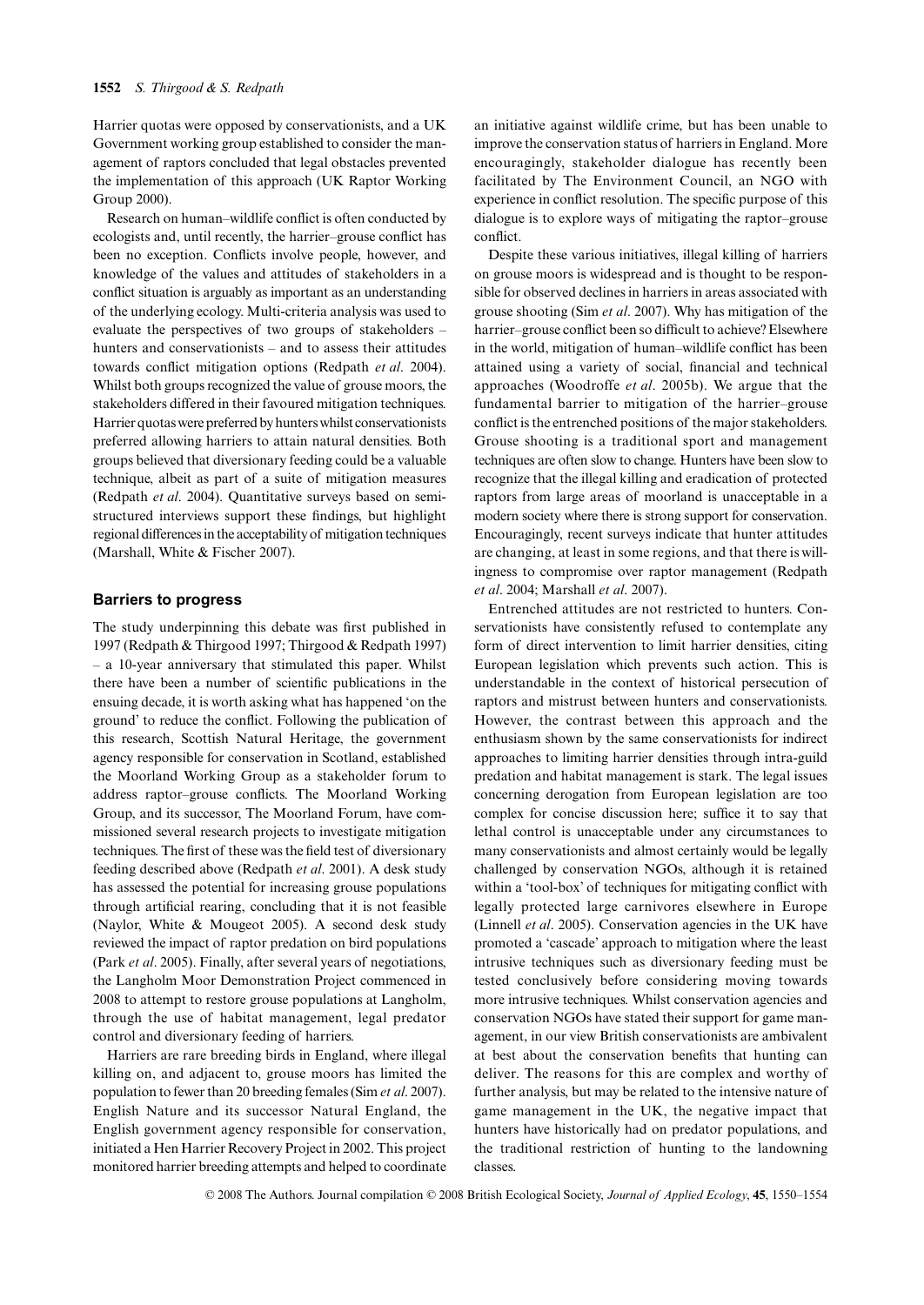Harrier quotas were opposed by conservationists, and a UK Government working group established to consider the management of raptors concluded that legal obstacles prevented the implementation of this approach (UK Raptor Working Group 2000).

Research on human–wildlife conflict is often conducted by ecologists and, until recently, the harrier–grouse conflict has been no exception. Conflicts involve people, however, and knowledge of the values and attitudes of stakeholders in a conflict situation is arguably as important as an understanding of the underlying ecology. Multi-criteria analysis was used to evaluate the perspectives of two groups of stakeholders – hunters and conservationists – and to assess their attitudes towards conflict mitigation options (Redpath *et al*. 2004). Whilst both groups recognized the value of grouse moors, the stakeholders differed in their favoured mitigation techniques. Harrier quotas were preferred by hunters whilst conservationists preferred allowing harriers to attain natural densities. Both groups believed that diversionary feeding could be a valuable technique, albeit as part of a suite of mitigation measures (Redpath *et al*. 2004). Quantitative surveys based on semistructured interviews support these findings, but highlight regional differences in the acceptability of mitigation techniques (Marshall, White & Fischer 2007).

## **Barriers to progress**

The study underpinning this debate was first published in 1997 (Redpath & Thirgood 1997; Thirgood & Redpath 1997) – a 10-year anniversary that stimulated this paper. Whilst there have been a number of scientific publications in the ensuing decade, it is worth asking what has happened 'on the ground' to reduce the conflict. Following the publication of this research, Scottish Natural Heritage, the government agency responsible for conservation in Scotland, established the Moorland Working Group as a stakeholder forum to address raptor–grouse conflicts. The Moorland Working Group, and its successor, The Moorland Forum, have commissioned several research projects to investigate mitigation techniques. The first of these was the field test of diversionary feeding described above (Redpath *et al*. 2001). A desk study has assessed the potential for increasing grouse populations through artificial rearing, concluding that it is not feasible (Naylor, White & Mougeot 2005). A second desk study reviewed the impact of raptor predation on bird populations (Park *et al*. 2005). Finally, after several years of negotiations, the Langholm Moor Demonstration Project commenced in 2008 to attempt to restore grouse populations at Langholm, through the use of habitat management, legal predator control and diversionary feeding of harriers.

Harriers are rare breeding birds in England, where illegal killing on, and adjacent to, grouse moors has limited the population to fewer than 20 breeding females (Sim *et al*. 2007). English Nature and its successor Natural England, the English government agency responsible for conservation, initiated a Hen Harrier Recovery Project in 2002. This project monitored harrier breeding attempts and helped to coordinate

an initiative against wildlife crime, but has been unable to improve the conservation status of harriers in England. More encouragingly, stakeholder dialogue has recently been facilitated by The Environment Council, an NGO with experience in conflict resolution. The specific purpose of this dialogue is to explore ways of mitigating the raptor–grouse conflict.

Despite these various initiatives, illegal killing of harriers on grouse moors is widespread and is thought to be responsible for observed declines in harriers in areas associated with grouse shooting (Sim *et al*. 2007). Why has mitigation of the harrier–grouse conflict been so difficult to achieve? Elsewhere in the world, mitigation of human–wildlife conflict has been attained using a variety of social, financial and technical approaches (Woodroffe *et al*. 2005b). We argue that the fundamental barrier to mitigation of the harrier–grouse conflict is the entrenched positions of the major stakeholders. Grouse shooting is a traditional sport and management techniques are often slow to change. Hunters have been slow to recognize that the illegal killing and eradication of protected raptors from large areas of moorland is unacceptable in a modern society where there is strong support for conservation. Encouragingly, recent surveys indicate that hunter attitudes are changing, at least in some regions, and that there is willingness to compromise over raptor management (Redpath *et al*. 2004; Marshall *et al*. 2007).

Entrenched attitudes are not restricted to hunters. Conservationists have consistently refused to contemplate any form of direct intervention to limit harrier densities, citing European legislation which prevents such action. This is understandable in the context of historical persecution of raptors and mistrust between hunters and conservationists. However, the contrast between this approach and the enthusiasm shown by the same conservationists for indirect approaches to limiting harrier densities through intra-guild predation and habitat management is stark. The legal issues concerning derogation from European legislation are too complex for concise discussion here; suffice it to say that lethal control is unacceptable under any circumstances to many conservationists and almost certainly would be legally challenged by conservation NGOs, although it is retained within a 'tool-box' of techniques for mitigating conflict with legally protected large carnivores elsewhere in Europe (Linnell *et al*. 2005). Conservation agencies in the UK have promoted a 'cascade' approach to mitigation where the least intrusive techniques such as diversionary feeding must be tested conclusively before considering moving towards more intrusive techniques. Whilst conservation agencies and conservation NGOs have stated their support for game management, in our view British conservationists are ambivalent at best about the conservation benefits that hunting can deliver. The reasons for this are complex and worthy of further analysis, but may be related to the intensive nature of game management in the UK, the negative impact that hunters have historically had on predator populations, and the traditional restriction of hunting to the landowning classes.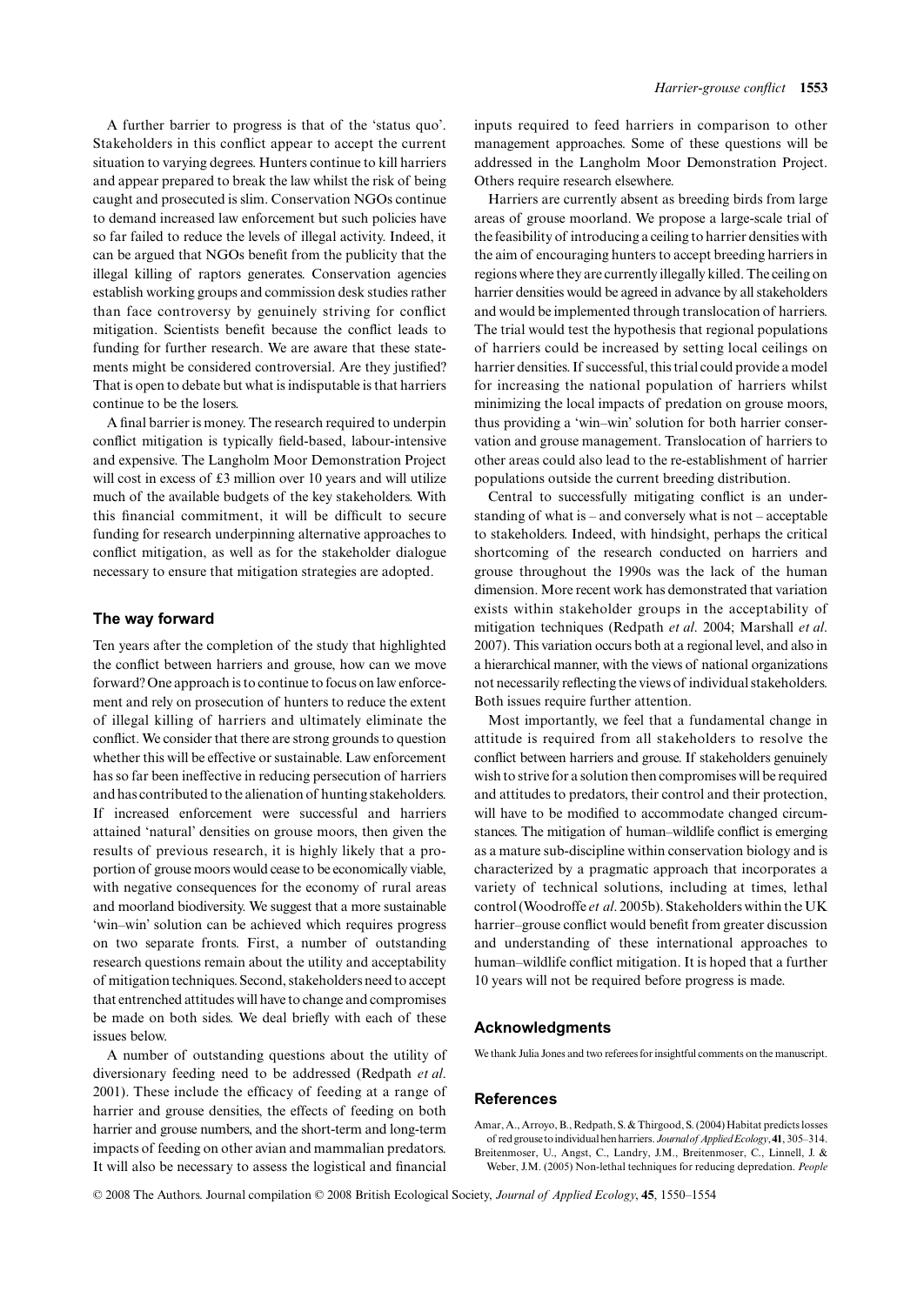A further barrier to progress is that of the 'status quo'. Stakeholders in this conflict appear to accept the current situation to varying degrees. Hunters continue to kill harriers and appear prepared to break the law whilst the risk of being caught and prosecuted is slim. Conservation NGOs continue to demand increased law enforcement but such policies have so far failed to reduce the levels of illegal activity. Indeed, it can be argued that NGOs benefit from the publicity that the illegal killing of raptors generates. Conservation agencies establish working groups and commission desk studies rather than face controversy by genuinely striving for conflict mitigation. Scientists benefit because the conflict leads to funding for further research. We are aware that these statements might be considered controversial. Are they justified? That is open to debate but what is indisputable is that harriers continue to be the losers.

A final barrier is money. The research required to underpin conflict mitigation is typically field-based, labour-intensive and expensive. The Langholm Moor Demonstration Project will cost in excess of £3 million over 10 years and will utilize much of the available budgets of the key stakeholders. With this financial commitment, it will be difficult to secure funding for research underpinning alternative approaches to conflict mitigation, as well as for the stakeholder dialogue necessary to ensure that mitigation strategies are adopted.

#### **The way forward**

Ten years after the completion of the study that highlighted the conflict between harriers and grouse, how can we move forward? One approach is to continue to focus on law enforcement and rely on prosecution of hunters to reduce the extent of illegal killing of harriers and ultimately eliminate the conflict. We consider that there are strong grounds to question whether this will be effective or sustainable. Law enforcement has so far been ineffective in reducing persecution of harriers and has contributed to the alienation of hunting stakeholders. If increased enforcement were successful and harriers attained 'natural' densities on grouse moors, then given the results of previous research, it is highly likely that a proportion of grouse moors would cease to be economically viable, with negative consequences for the economy of rural areas and moorland biodiversity. We suggest that a more sustainable 'win–win' solution can be achieved which requires progress on two separate fronts. First, a number of outstanding research questions remain about the utility and acceptability of mitigation techniques. Second, stakeholders need to accept that entrenched attitudes will have to change and compromises be made on both sides. We deal briefly with each of these issues below.

A number of outstanding questions about the utility of diversionary feeding need to be addressed (Redpath *et al*. 2001). These include the efficacy of feeding at a range of harrier and grouse densities, the effects of feeding on both harrier and grouse numbers, and the short-term and long-term impacts of feeding on other avian and mammalian predators. It will also be necessary to assess the logistical and financial

inputs required to feed harriers in comparison to other management approaches. Some of these questions will be addressed in the Langholm Moor Demonstration Project. Others require research elsewhere.

Harriers are currently absent as breeding birds from large areas of grouse moorland. We propose a large-scale trial of the feasibility of introducing a ceiling to harrier densities with the aim of encouraging hunters to accept breeding harriers in regions where they are currently illegally killed. The ceiling on harrier densities would be agreed in advance by all stakeholders and would be implemented through translocation of harriers. The trial would test the hypothesis that regional populations of harriers could be increased by setting local ceilings on harrier densities. If successful, this trial could provide a model for increasing the national population of harriers whilst minimizing the local impacts of predation on grouse moors, thus providing a 'win–win' solution for both harrier conservation and grouse management. Translocation of harriers to other areas could also lead to the re-establishment of harrier populations outside the current breeding distribution.

Central to successfully mitigating conflict is an understanding of what is – and conversely what is not – acceptable to stakeholders. Indeed, with hindsight, perhaps the critical shortcoming of the research conducted on harriers and grouse throughout the 1990s was the lack of the human dimension. More recent work has demonstrated that variation exists within stakeholder groups in the acceptability of mitigation techniques (Redpath *et al*. 2004; Marshall *et al*. 2007). This variation occurs both at a regional level, and also in a hierarchical manner, with the views of national organizations not necessarily reflecting the views of individual stakeholders. Both issues require further attention.

Most importantly, we feel that a fundamental change in attitude is required from all stakeholders to resolve the conflict between harriers and grouse. If stakeholders genuinely wish to strive for a solution then compromises will be required and attitudes to predators, their control and their protection, will have to be modified to accommodate changed circumstances. The mitigation of human–wildlife conflict is emerging as a mature sub-discipline within conservation biology and is characterized by a pragmatic approach that incorporates a variety of technical solutions, including at times, lethal control (Woodroffe *et al*. 2005b). Stakeholders within the UK harrier–grouse conflict would benefit from greater discussion and understanding of these international approaches to human–wildlife conflict mitigation. It is hoped that a further 10 years will not be required before progress is made.

### **Acknowledgments**

We thank Julia Jones and two referees for insightful comments on the manuscript.

# **References**

Amar, A., Arroyo, B., Redpath, S. & Thirgood, S. (2004) Habitat predicts losses of red grouse to individual hen harriers. *Journal of Applied Ecology*, **41**, 305–314. Breitenmoser, U., Angst, C., Landry, J.M., Breitenmoser, C., Linnell, J. & Weber, J.M. (2005) Non-lethal techniques for reducing depredation. *People*

© 2008 The Authors. Journal compilation © 2008 British Ecological Society, *Journal of Applied Ecology*, **45**, 1550–1554